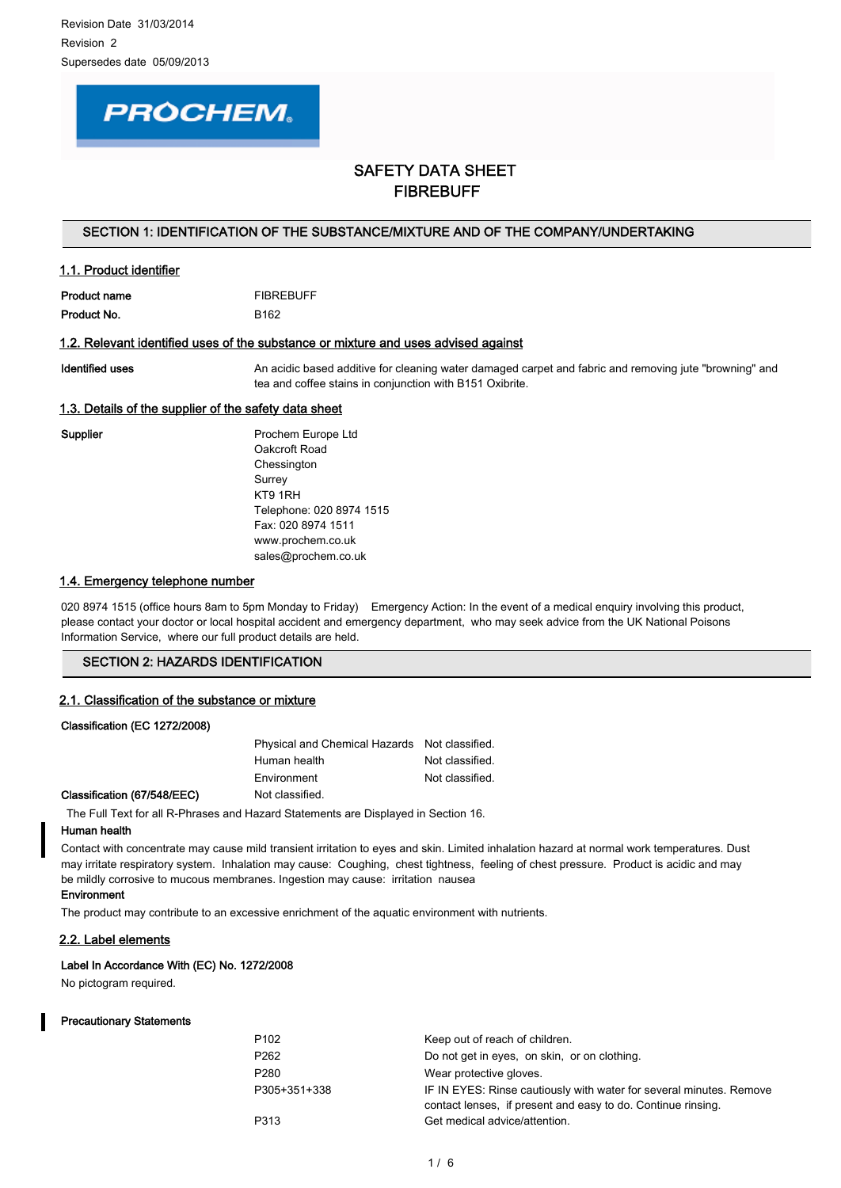# **PROCHEM.**

# SAFETY DATA SHEET FIBREBUFF

# SECTION 1: IDENTIFICATION OF THE SUBSTANCE/MIXTURE AND OF THE COMPANY/UNDERTAKING

# 1.1. Product identifier

| Product name | <b>FIBREBUFF</b> |
|--------------|------------------|
| Product No.  | B <sub>162</sub> |

### 1.2. Relevant identified uses of the substance or mixture and uses advised against

Identified uses **An acidic based additive for cleaning water damaged carpet and fabric and removing jute "browning" and removing and removing and removing and removing and removing and removing and removing and removing an** tea and coffee stains in conjunction with B151 Oxibrite.

# 1.3. Details of the supplier of the safety data sheet

Supplier **Prochem Europe Ltd** Oakcroft Road **Chessington** Surrey KT9 1RH Telephone: 020 8974 1515 Fax: 020 8974 1511 www.prochem.co.uk sales@prochem.co.uk

# 1.4. Emergency telephone number

020 8974 1515 (office hours 8am to 5pm Monday to Friday) Emergency Action: In the event of a medical enquiry involving this product, please contact your doctor or local hospital accident and emergency department, who may seek advice from the UK National Poisons Information Service, where our full product details are held.

# SECTION 2: HAZARDS IDENTIFICATION

### 2.1. Classification of the substance or mixture

| Physical and Chemical Hazards Not classified. |                 |
|-----------------------------------------------|-----------------|
| Human health                                  | Not classified. |
| Environment                                   | Not classified. |

#### Classification (67/548/EEC) Not classified.

Classification (EC 1272/2008)

The Full Text for all R-Phrases and Hazard Statements are Displayed in Section 16.

# Human health

Contact with concentrate may cause mild transient irritation to eyes and skin. Limited inhalation hazard at normal work temperatures. Dust may irritate respiratory system. Inhalation may cause: Coughing, chest tightness, feeling of chest pressure. Product is acidic and may be mildly corrosive to mucous membranes. Ingestion may cause: irritation nausea

# Environment

The product may contribute to an excessive enrichment of the aquatic environment with nutrients.

### 2.2. Label elements

## Label In Accordance With (EC) No. 1272/2008

No pictogram required.

#### Precautionary Statements

| P102         | Keep out of reach of children.                                      |
|--------------|---------------------------------------------------------------------|
| P262         | Do not get in eyes, on skin, or on clothing.                        |
| P280         | Wear protective gloves.                                             |
| P305+351+338 | IF IN EYES: Rinse cautiously with water for several minutes. Remove |
|              | contact lenses, if present and easy to do. Continue rinsing.        |
| P313         | Get medical advice/attention.                                       |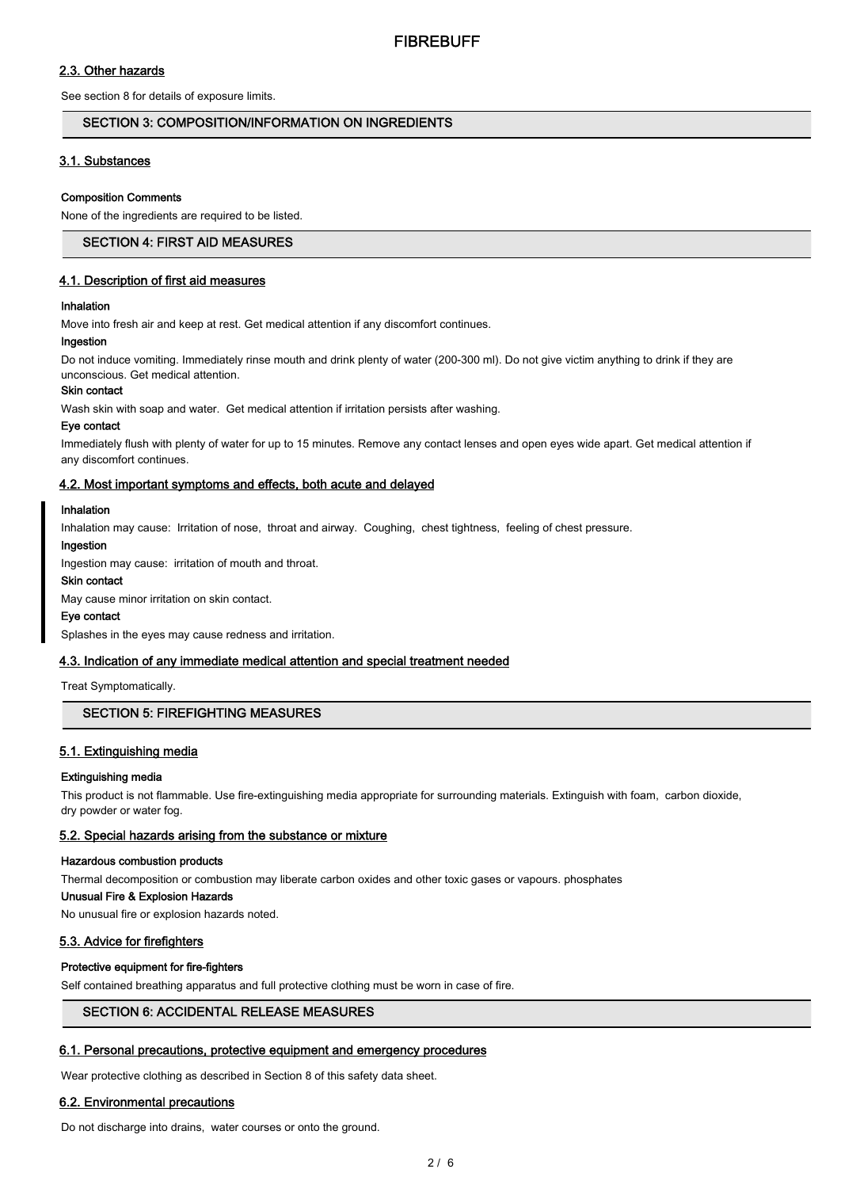# 2.3. Other hazards

See section 8 for details of exposure limits.

# SECTION 3: COMPOSITION/INFORMATION ON INGREDIENTS

# 3.1. Substances

#### Composition Comments

None of the ingredients are required to be listed.

## SECTION 4: FIRST AID MEASURES

## 4.1. Description of first aid measures

#### Inhalation

Move into fresh air and keep at rest. Get medical attention if any discomfort continues.

# Ingestion

Do not induce vomiting. Immediately rinse mouth and drink plenty of water (200-300 ml). Do not give victim anything to drink if they are unconscious. Get medical attention.

# Skin contact

Wash skin with soap and water. Get medical attention if irritation persists after washing.

#### Eye contact

Immediately flush with plenty of water for up to 15 minutes. Remove any contact lenses and open eyes wide apart. Get medical attention if any discomfort continues.

#### 4.2. Most important symptoms and effects, both acute and delayed

#### Inhalation

Inhalation may cause: Irritation of nose, throat and airway. Coughing, chest tightness, feeling of chest pressure.

#### Ingestion

Ingestion may cause: irritation of mouth and throat.

#### Skin contact

May cause minor irritation on skin contact.

#### Eye contact

Splashes in the eyes may cause redness and irritation.

# 4.3. Indication of any immediate medical attention and special treatment needed

Treat Symptomatically.

## SECTION 5: FIREFIGHTING MEASURES

# 5.1. Extinguishing media

#### Extinguishing media

This product is not flammable. Use fire-extinguishing media appropriate for surrounding materials. Extinguish with foam, carbon dioxide, dry powder or water fog.

## 5.2. Special hazards arising from the substance or mixture

#### Hazardous combustion products

Thermal decomposition or combustion may liberate carbon oxides and other toxic gases or vapours. phosphates

## Unusual Fire & Explosion Hazards

No unusual fire or explosion hazards noted.

### 5.3. Advice for firefighters

## Protective equipment for fire-fighters

Self contained breathing apparatus and full protective clothing must be worn in case of fire.

# SECTION 6: ACCIDENTAL RELEASE MEASURES

### 6.1. Personal precautions, protective equipment and emergency procedures

Wear protective clothing as described in Section 8 of this safety data sheet.

### 6.2. Environmental precautions

Do not discharge into drains, water courses or onto the ground.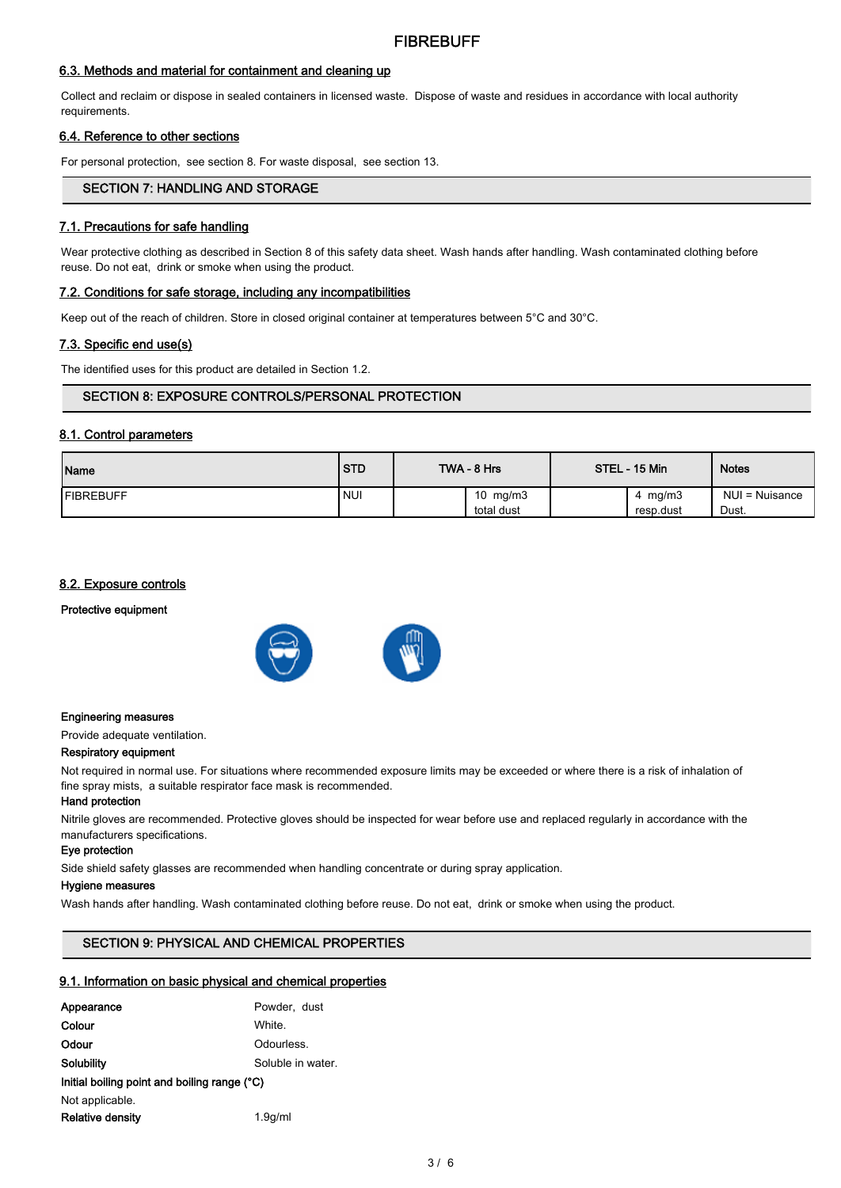# 6.3. Methods and material for containment and cleaning up

Collect and reclaim or dispose in sealed containers in licensed waste. Dispose of waste and residues in accordance with local authority requirements.

# 6.4. Reference to other sections

For personal protection, see section 8. For waste disposal, see section 13.

# SECTION 7: HANDLING AND STORAGE

# 7.1. Precautions for safe handling

Wear protective clothing as described in Section 8 of this safety data sheet. Wash hands after handling. Wash contaminated clothing before reuse. Do not eat, drink or smoke when using the product.

### 7.2. Conditions for safe storage, including any incompatibilities

Keep out of the reach of children. Store in closed original container at temperatures between 5°C and 30°C.

### 7.3. Specific end use(s)

The identified uses for this product are detailed in Section 1.2.

# SECTION 8: EXPOSURE CONTROLS/PERSONAL PROTECTION

# 8.1. Control parameters

| Name              | <b>STD</b> | TWA - 8 Hrs              | STEL - 15 Min           | <b>Notes</b>            |
|-------------------|------------|--------------------------|-------------------------|-------------------------|
| <b>IFIBREBUFF</b> | <b>NUI</b> | 10 $mg/m3$<br>total dust | 4 mg/m $3$<br>resp.dust | NUI = Nuisance<br>Dust. |

# 8.2. Exposure controls

Protective equipment





#### Engineering measures

Provide adequate ventilation.

#### Respiratory equipment

Not required in normal use. For situations where recommended exposure limits may be exceeded or where there is a risk of inhalation of fine spray mists, a suitable respirator face mask is recommended.

# Hand protection

Nitrile gloves are recommended. Protective gloves should be inspected for wear before use and replaced regularly in accordance with the manufacturers specifications.

#### Eye protection

Side shield safety glasses are recommended when handling concentrate or during spray application.

#### Hygiene measures

Wash hands after handling. Wash contaminated clothing before reuse. Do not eat, drink or smoke when using the product.

# SECTION 9: PHYSICAL AND CHEMICAL PROPERTIES

#### 9.1. Information on basic physical and chemical properties

| Appearance                                   | Powder, dust      |  |  |  |
|----------------------------------------------|-------------------|--|--|--|
| Colour                                       | White.            |  |  |  |
| Odour                                        | Odourless.        |  |  |  |
| Solubility                                   | Soluble in water. |  |  |  |
| Initial boiling point and boiling range (°C) |                   |  |  |  |
| Not applicable.                              |                   |  |  |  |
| <b>Relative density</b>                      | 1.9q/ml           |  |  |  |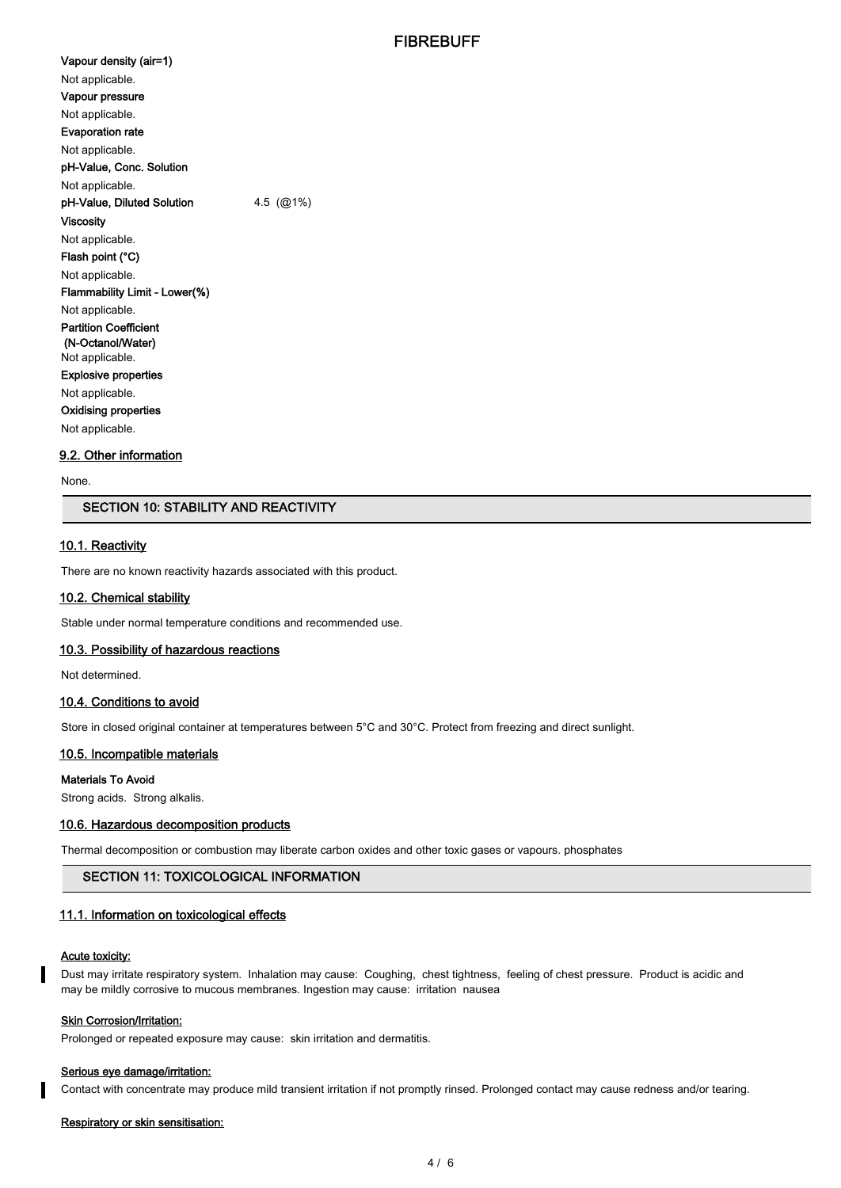Vapour density (air=1) Not applicable. Vapour pressure Not applicable. Evaporation rate Not applicable. pH-Value, Conc. Solution Not applicable. pH-Value, Diluted Solution 4.5 (@1%) Viscosity Not applicable. Flash point (°C) Not applicable. Flammability Limit - Lower(%) Not applicable. Partition Coefficient (N-Octanol/Water) Not applicable. Explosive properties Not applicable. Oxidising properties Not applicable.

# 9.2. Other information

None.

# SECTION 10: STABILITY AND REACTIVITY

### 10.1. Reactivity

There are no known reactivity hazards associated with this product.

#### 10.2. Chemical stability

Stable under normal temperature conditions and recommended use.

#### 10.3. Possibility of hazardous reactions

Not determined.

#### 10.4. Conditions to avoid

Store in closed original container at temperatures between 5°C and 30°C. Protect from freezing and direct sunlight.

#### 10.5. Incompatible materials

#### Materials To Avoid

Strong acids. Strong alkalis.

#### 10.6. Hazardous decomposition products

Thermal decomposition or combustion may liberate carbon oxides and other toxic gases or vapours. phosphates

# SECTION 11: TOXICOLOGICAL INFORMATION

#### 11.1. Information on toxicological effects

# Acute toxicity:

Dust may irritate respiratory system. Inhalation may cause: Coughing, chest tightness, feeling of chest pressure. Product is acidic and may be mildly corrosive to mucous membranes. Ingestion may cause: irritation nausea

#### Skin Corrosion/Irritation:

Prolonged or repeated exposure may cause: skin irritation and dermatitis.

#### Serious eye damage/irritation:

Contact with concentrate may produce mild transient irritation if not promptly rinsed. Prolonged contact may cause redness and/or tearing.

#### Respiratory or skin sensitisation: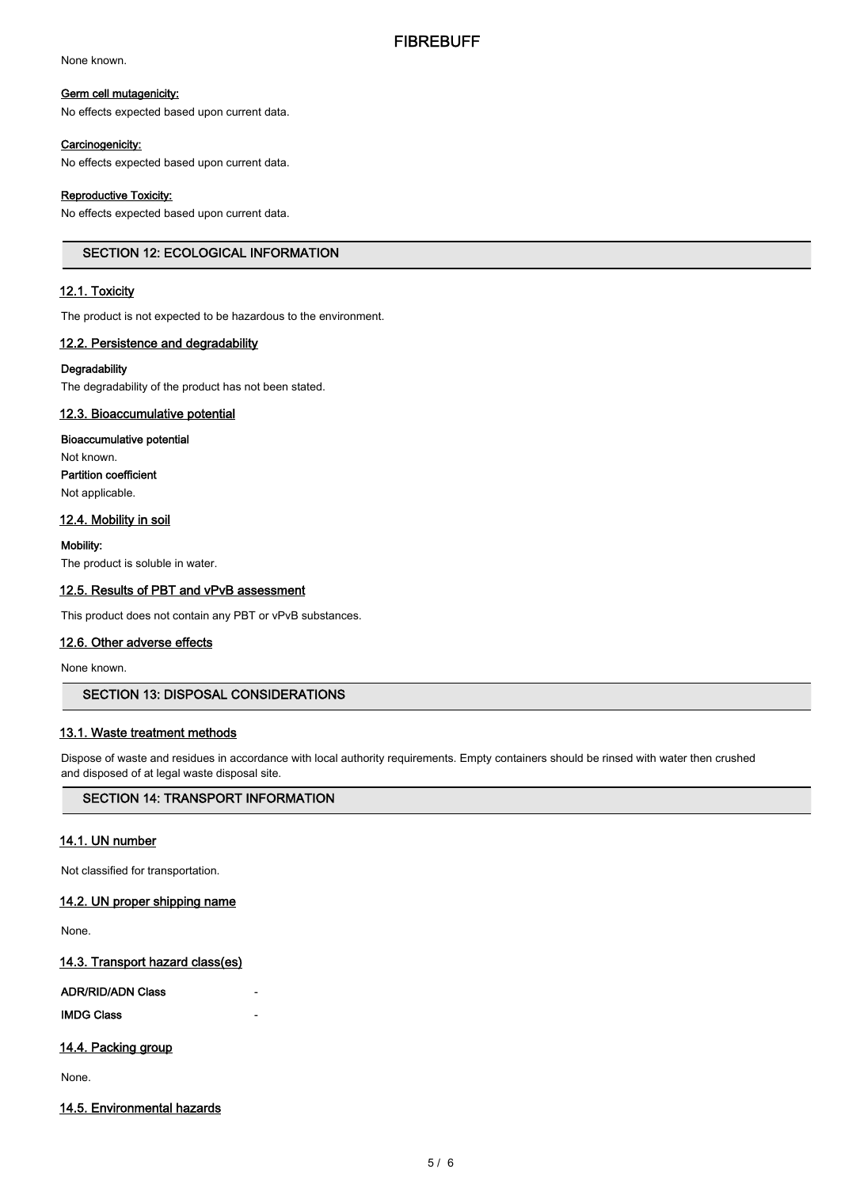None known.

#### Germ cell mutagenicity:

No effects expected based upon current data.

# Carcinogenicity:

No effects expected based upon current data.

# Reproductive Toxicity:

No effects expected based upon current data.

# SECTION 12: ECOLOGICAL INFORMATION

# 12.1. Toxicity

The product is not expected to be hazardous to the environment.

# 12.2. Persistence and degradability

## **Degradability**

The degradability of the product has not been stated.

# 12.3. Bioaccumulative potential

Bioaccumulative potential Not known. Partition coefficient Not applicable.

# 12.4. Mobility in soil

Mobility:

The product is soluble in water.

# 12.5. Results of PBT and vPvB assessment

This product does not contain any PBT or vPvB substances.

# 12.6. Other adverse effects

None known.

# SECTION 13: DISPOSAL CONSIDERATIONS

### 13.1. Waste treatment methods

Dispose of waste and residues in accordance with local authority requirements. Empty containers should be rinsed with water then crushed and disposed of at legal waste disposal site.

# SECTION 14: TRANSPORT INFORMATION

# 14.1. UN number

Not classified for transportation.

# 14.2. UN proper shipping name

None.

# 14.3. Transport hazard class(es)

### ADR/RID/ADN Class

**IMDG Class** 

# 14.4. Packing group

None.

# 14.5. Environmental hazards